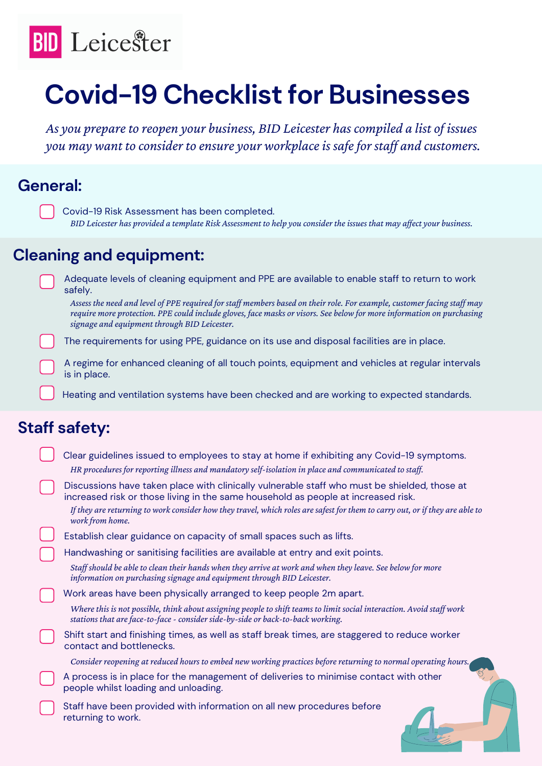

# **Covid-19 Checklist for Businesses**

*As you prepareto reopen your business, BID Leicester has compiled a list of issues you may* want to consider to ensure your workplace is safe for staff and customers.

#### **General:**

## **Cleaning and equipment:**

A regime for enhanced cleaning of all touch points, equipment and vehicles at regular intervals is in place.

- Clear guidelines issued to employees to stay at home if exhibiting any Covid-19 symptoms. *HR procedures for reporting illness and mandatory self-isolation in place and communicated to staf .*
	- Discussions have taken place with clinically vulnerable staff who must be shielded, those at increased risk or those living in the same household as people at increased risk.
		- If they are returning to work consider how they travel, which roles are safest for them to carry out, or if they are able to *work from home.*
	- Establish clear guidance on capacity of small spaces such as lifts.
- Handwashing or sanitising facilities are available at entry and exit points.
	- Staff should be able to clean their hands when they arrive at work and when they leave. See below for more *information on purchasing signage and equipment through BID Leicester.*
- Work areas have been physically arranged to keep people 2m apart.
	- Where this is not possible, think about assigning people to shift teams to limit social interaction. Avoid staff work *stations that areface-to-face- consider side-by-side or back-to-back working.*
- Shift start and finishing times, as well as staff break times, are staggered to reduce worker contact and bottlenecks.
	- *Consider reopening at reduced hours to embed new working practices beforereturning to normal operating hours.*
	- A process is in place for the management of deliveries to minimise contact with other people whilst loading and unloading.
- 
- Staff have been provided with information on all new procedures before returning to work.

Adequate levels of cleaning equipment and PPE are available to enable staff to return to work safely.

The requirements for using PPE, guidance on its use and disposal facilities are in place.

## **Staff safety:**

Covid-19 Risk Assessment has been completed. BID Leicester has provided a template Risk Assessment to help you consider the issues that may affect your business.

Assess the need and level of PPE required for staff members based on their role. For example, customer facing staff may require more protection. PPE could include gloves, face masks or visors. See below for more information on purchasing *signage and equipment through BID Leicester.*

Heating and ventilation systems have been checked and are working to expected standards.